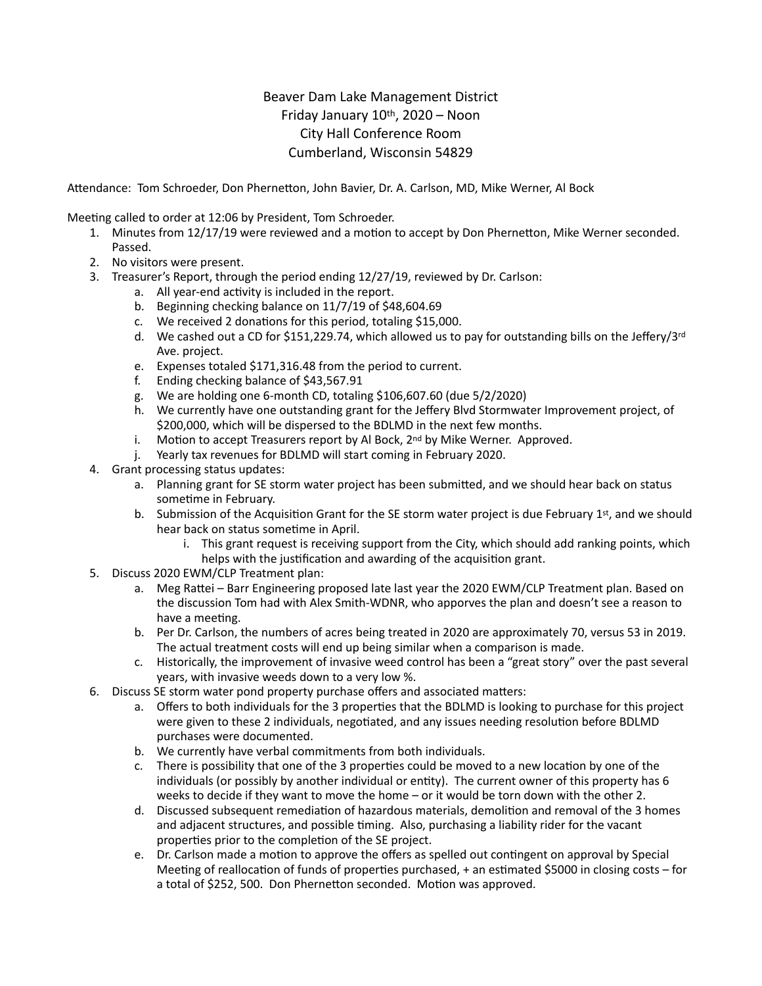## Beaver Dam Lake Management District Friday January 10th, 2020 – Noon City Hall Conference Room Cumberland, Wisconsin 54829

Attendance: Tom Schroeder, Don Phernetton, John Bavier, Dr. A. Carlson, MD, Mike Werner, Al Bock

Meeting called to order at 12:06 by President, Tom Schroeder.

- 1. Minutes from 12/17/19 were reviewed and a motion to accept by Don Phernetton, Mike Werner seconded. Passed.
- 2. No visitors were present.
- 3. Treasurer's Report, through the period ending 12/27/19, reviewed by Dr. Carlson:
	- a. All year-end activity is included in the report.
	- b. Beginning checking balance on 11/7/19 of \$48,604.69
	- c. We received 2 donations for this period, totaling \$15,000.
	- d. We cashed out a CD for \$151,229.74, which allowed us to pay for outstanding bills on the Jeffery/3rd Ave. project.
	- e. Expenses totaled \$171,316.48 from the period to current.
	- f. Ending checking balance of \$43,567.91
	- g. We are holding one 6-month CD, totaling \$106,607.60 (due 5/2/2020)
	- h. We currently have one outstanding grant for the Jeffery Blvd Stormwater Improvement project, of \$200,000, which will be dispersed to the BDLMD in the next few months.
	- i. Motion to accept Treasurers report by Al Bock,  $2^{nd}$  by Mike Werner. Approved.
	- j. Yearly tax revenues for BDLMD will start coming in February 2020.
- 4. Grant processing status updates:
	- a. Planning grant for SE storm water project has been submitted, and we should hear back on status sometime in February.
	- b. Submission of the Acquisition Grant for the SE storm water project is due February 1st, and we should hear back on status sometime in April.
		- i. This grant request is receiving support from the City, which should add ranking points, which helps with the justification and awarding of the acquisition grant.
- 5. Discuss 2020 EWM/CLP Treatment plan:
	- a. Meg Rattei Barr Engineering proposed late last year the 2020 EWM/CLP Treatment plan. Based on the discussion Tom had with Alex Smith-WDNR, who apporves the plan and doesn't see a reason to have a meeting.
	- b. Per Dr. Carlson, the numbers of acres being treated in 2020 are approximately 70, versus 53 in 2019. The actual treatment costs will end up being similar when a comparison is made.
	- c. Historically, the improvement of invasive weed control has been a "great story" over the past several years, with invasive weeds down to a very low %.
- 6. Discuss SE storm water pond property purchase offers and associated matters:
	- a. Offers to both individuals for the 3 properties that the BDLMD is looking to purchase for this project were given to these 2 individuals, negotiated, and any issues needing resolution before BDLMD purchases were documented.
	- b. We currently have verbal commitments from both individuals.
	- c. There is possibility that one of the 3 properties could be moved to a new location by one of the individuals (or possibly by another individual or entity). The current owner of this property has 6 weeks to decide if they want to move the home – or it would be torn down with the other 2.
	- d. Discussed subsequent remediation of hazardous materials, demolition and removal of the 3 homes and adjacent structures, and possible timing. Also, purchasing a liability rider for the vacant properties prior to the completion of the SE project.
	- e. Dr. Carlson made a motion to approve the offers as spelled out contingent on approval by Special Meeting of reallocation of funds of properties purchased, + an estimated \$5000 in closing costs – for a total of \$252, 500. Don Phernetton seconded. Motion was approved.